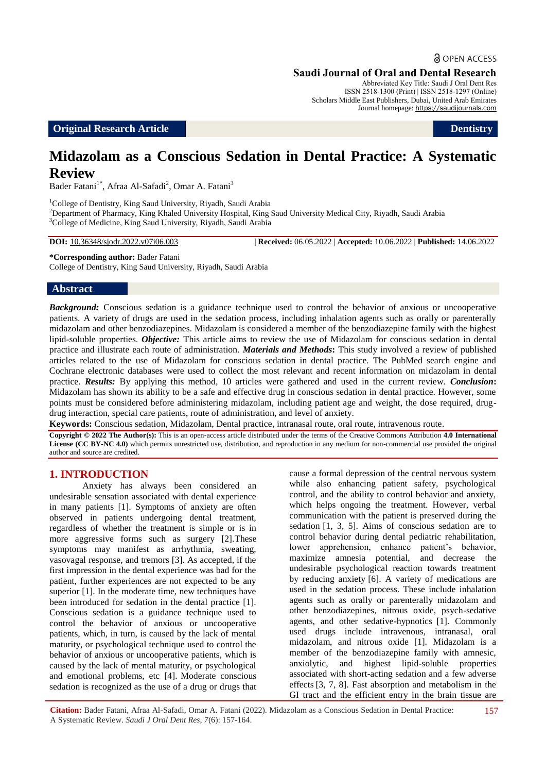# **a** OPEN ACCESS

#### **Saudi Journal of Oral and Dental Research**

Abbreviated Key Title: Saudi J Oral Dent Res ISSN 2518-1300 (Print) | ISSN 2518-1297 (Online) Scholars Middle East Publishers, Dubai, United Arab Emirates Journal homepage: https://saudijournals.com

**Original Research Article Dentistry** 

# **Midazolam as a Conscious Sedation in Dental Practice: A Systematic Review**

Bader Fatani<sup>1\*</sup>, Afraa Al-Safadi<sup>2</sup>, Omar A. Fatani<sup>3</sup>

<sup>1</sup>College of Dentistry, King Saud University, Riyadh, Saudi Arabia <sup>2</sup>Department of Pharmacy, King Khaled University Hospital, King Saud University Medical City, Riyadh, Saudi Arabia <sup>3</sup>College of Medicine, King Saud University, Riyadh, Saudi Arabia

**DOI:** 10.36348/sjodr.2022.v07i06.003 | **Received:** 06.05.2022 | **Accepted:** 10.06.2022 | **Published:** 14.06.2022

**\*Corresponding author:** Bader Fatani

College of Dentistry, King Saud University, Riyadh, Saudi Arabia

#### **Abstract**

*Background:* Conscious sedation is a guidance technique used to control the behavior of anxious or uncooperative patients. A variety of drugs are used in the sedation process, including inhalation agents such as orally or parenterally midazolam and other benzodiazepines. Midazolam is considered a member of the benzodiazepine family with the highest lipid-soluble properties. *Objective:* This article aims to review the use of Midazolam for conscious sedation in dental practice and illustrate each route of administration. *Materials and Methods***:** This study involved a review of published articles related to the use of Midazolam for conscious sedation in dental practice. The PubMed search engine and Cochrane electronic databases were used to collect the most relevant and recent information on midazolam in dental practice. *Results:* By applying this method, 10 articles were gathered and used in the current review. *Conclusion***:**  Midazolam has shown its ability to be a safe and effective drug in conscious sedation in dental practice. However, some points must be considered before administering midazolam, including patient age and weight, the dose required, drugdrug interaction, special care patients, route of administration, and level of anxiety.

**Keywords:** Conscious sedation, Midazolam, Dental practice, intranasal route, oral route, intravenous route.

**Copyright © 2022 The Author(s):** This is an open-access article distributed under the terms of the Creative Commons Attribution **4.0 International License (CC BY-NC 4.0)** which permits unrestricted use, distribution, and reproduction in any medium for non-commercial use provided the original author and source are credited.

## **1. INTRODUCTION**

Anxiety has always been considered an undesirable sensation associated with dental experience in many patients [1]. Symptoms of anxiety are often observed in patients undergoing dental treatment, regardless of whether the treatment is simple or is in more aggressive forms such as surgery [2].These symptoms may manifest as arrhythmia, sweating, vasovagal response, and tremors [3]. As accepted, if the first impression in the dental experience was bad for the patient, further experiences are not expected to be any superior [1]. In the moderate time, new techniques have been introduced for sedation in the dental practice [1]. Conscious sedation is a guidance technique used to control the behavior of anxious or uncooperative patients, which, in turn, is caused by the lack of mental maturity, or psychological technique used to control the behavior of anxious or uncooperative patients, which is caused by the lack of mental maturity, or psychological and emotional problems, etc [4]. Moderate conscious sedation is recognized as the use of a drug or drugs that cause a formal depression of the central nervous system while also enhancing patient safety, psychological control, and the ability to control behavior and anxiety, which helps ongoing the treatment. However, verbal communication with the patient is preserved during the sedation [1, 3, 5]. Aims of conscious sedation are to control behavior during dental pediatric rehabilitation, lower apprehension, enhance patient's behavior, maximize amnesia potential, and decrease the undesirable psychological reaction towards treatment by reducing anxiety [6]. A variety of medications are used in the sedation process. These include inhalation agents such as orally or parenterally midazolam and other benzodiazepines, nitrous oxide, psych-sedative agents, and other sedative-hypnotics [1]. Commonly used drugs include intravenous, intranasal, oral midazolam, and nitrous oxide [1]. Midazolam is a member of the benzodiazepine family with amnesic, anxiolytic, and highest lipid-soluble properties associated with short-acting sedation and a few adverse effects [3, 7, 8]. Fast absorption and metabolism in the GI tract and the efficient entry in the brain tissue are

**Citation:** Bader Fatani, Afraa Al-Safadi, Omar A. Fatani (2022). Midazolam as a Conscious Sedation in Dental Practice: A Systematic Review. *Saudi J Oral Dent Res, 7*(6): 157-164.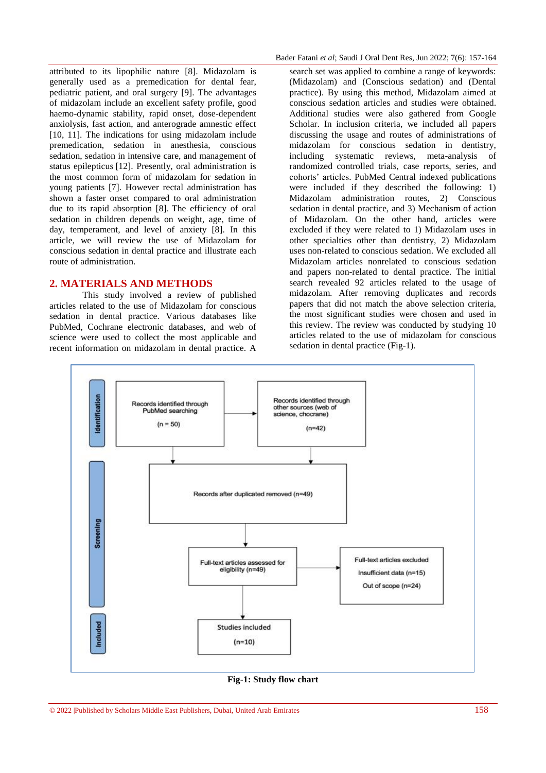attributed to its lipophilic nature [8]. Midazolam is generally used as a premedication for dental fear, pediatric patient, and oral surgery [9]. The advantages of midazolam include an excellent safety profile, good haemo-dynamic stability, rapid onset, dose-dependent anxiolysis, fast action, and anterograde amnestic effect [10, 11]. The indications for using midazolam include premedication, sedation in anesthesia, conscious sedation, sedation in intensive care, and management of status epilepticus [12]. Presently, oral administration is the most common form of midazolam for sedation in young patients [7]. However rectal administration has shown a faster onset compared to oral administration due to its rapid absorption [8]. The efficiency of oral sedation in children depends on weight, age, time of day, temperament, and level of anxiety [8]. In this article, we will review the use of Midazolam for conscious sedation in dental practice and illustrate each route of administration.

## **2. MATERIALS AND METHODS**

This study involved a review of published articles related to the use of Midazolam for conscious sedation in dental practice. Various databases like PubMed, Cochrane electronic databases, and web of science were used to collect the most applicable and recent information on midazolam in dental practice. A

search set was applied to combine a range of keywords: (Midazolam) and (Conscious sedation) and (Dental practice). By using this method, Midazolam aimed at conscious sedation articles and studies were obtained. Additional studies were also gathered from Google Scholar. In inclusion criteria, we included all papers discussing the usage and routes of administrations of midazolam for conscious sedation in dentistry, including systematic reviews, meta-analysis of randomized controlled trials, case reports, series, and cohorts' articles. PubMed Central indexed publications were included if they described the following: 1) Midazolam administration routes, 2) Conscious sedation in dental practice, and 3) Mechanism of action of Midazolam. On the other hand, articles were excluded if they were related to 1) Midazolam uses in other specialties other than dentistry, 2) Midazolam uses non-related to conscious sedation. We excluded all Midazolam articles nonrelated to conscious sedation and papers non-related to dental practice. The initial search revealed 92 articles related to the usage of midazolam. After removing duplicates and records papers that did not match the above selection criteria, the most significant studies were chosen and used in this review. The review was conducted by studying 10 articles related to the use of midazolam for conscious sedation in dental practice (Fig-1).



**Fig-1: Study flow chart**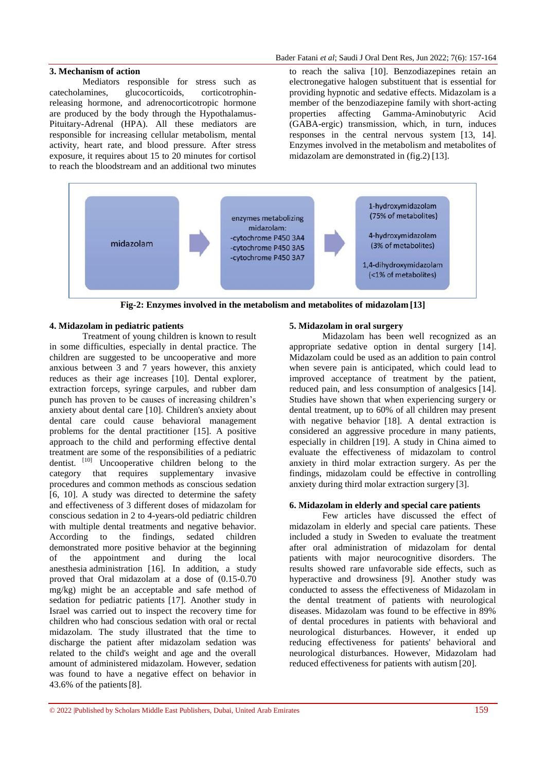#### **3. Mechanism of action**

Mediators responsible for stress such as catecholamines, glucocorticoids, corticotrophinreleasing hormone, and adrenocorticotropic hormone are produced by the body through the Hypothalamus-Pituitary-Adrenal (HPA). All these mediators are responsible for increasing cellular metabolism, mental activity, heart rate, and blood pressure. After stress exposure, it requires about 15 to 20 minutes for cortisol to reach the bloodstream and an additional two minutes

to reach the saliva [10]. Benzodiazepines retain an electronegative halogen substituent that is essential for providing hypnotic and sedative effects. Midazolam is a member of the benzodiazepine family with short-acting properties affecting Gamma-Aminobutyric Acid (GABA-ergic) transmission, which, in turn, induces responses in the central nervous system [13, 14]. Enzymes involved in the metabolism and metabolites of midazolam are demonstrated in (fig.2) [13].



**Fig-2: Enzymes involved in the metabolism and metabolites of midazolam [13]**

# **4. Midazolam in pediatric patients**

Treatment of young children is known to result in some difficulties, especially in dental practice. The children are suggested to be uncooperative and more anxious between 3 and 7 years however, this anxiety reduces as their age increases [10]. Dental explorer, extraction forceps, syringe carpules, and rubber dam punch has proven to be causes of increasing children's anxiety about dental care [10]. Children's anxiety about dental care could cause behavioral management problems for the dental practitioner [15]. A positive approach to the child and performing effective dental treatment are some of the responsibilities of a pediatric dentist. [10] Uncooperative children belong to the category that requires supplementary invasive procedures and common methods as conscious sedation [6, 10]. A study was directed to determine the safety and effectiveness of 3 different doses of midazolam for conscious sedation in 2 to 4-years-old pediatric children with multiple dental treatments and negative behavior. According to the findings, sedated children demonstrated more positive behavior at the beginning of the appointment and during the local anesthesia administration [16]. In addition, a study proved that Oral midazolam at a dose of (0.15-0.70 mg/kg) might be an acceptable and safe method of sedation for pediatric patients [17]. Another study in Israel was carried out to inspect the recovery time for children who had conscious sedation with oral or rectal midazolam. The study illustrated that the time to discharge the patient after midazolam sedation was related to the child's weight and age and the overall amount of administered midazolam. However, sedation was found to have a negative effect on behavior in 43.6% of the patients[8].

#### **5. Midazolam in oral surgery**

Midazolam has been well recognized as an appropriate sedative option in dental surgery [14]. Midazolam could be used as an addition to pain control when severe pain is anticipated, which could lead to improved acceptance of treatment by the patient, reduced pain, and less consumption of analgesics [14]. Studies have shown that when experiencing surgery or dental treatment, up to 60% of all children may present with negative behavior [18]. A dental extraction is considered an aggressive procedure in many patients, especially in children [19]. A study in China aimed to evaluate the effectiveness of midazolam to control anxiety in third molar extraction surgery. As per the findings, midazolam could be effective in controlling anxiety during third molar extraction surgery [3].

#### **6. Midazolam in elderly and special care patients**

Few articles have discussed the effect of midazolam in elderly and special care patients. These included a study in Sweden to evaluate the treatment after oral administration of midazolam for dental patients with major neurocognitive disorders. The results showed rare unfavorable side effects, such as hyperactive and drowsiness [9]. Another study was conducted to assess the effectiveness of Midazolam in the dental treatment of patients with neurological diseases. Midazolam was found to be effective in 89% of dental procedures in patients with behavioral and neurological disturbances. However, it ended up reducing effectiveness for patients' behavioral and neurological disturbances. However, Midazolam had reduced effectiveness for patients with autism [20].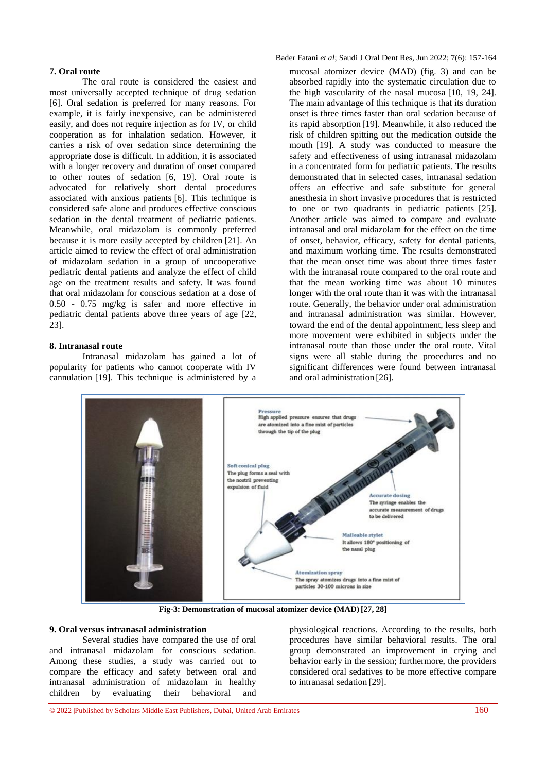## **7. Oral route**

The oral route is considered the easiest and most universally accepted technique of drug sedation [6]. Oral sedation is preferred for many reasons. For example, it is fairly inexpensive, can be administered easily, and does not require injection as for IV, or child cooperation as for inhalation sedation. However, it carries a risk of over sedation since determining the appropriate dose is difficult. In addition, it is associated with a longer recovery and duration of onset compared to other routes of sedation [6, 19]. Oral route is advocated for relatively short dental procedures associated with anxious patients [6]. This technique is considered safe alone and produces effective conscious sedation in the dental treatment of pediatric patients. Meanwhile, oral midazolam is commonly preferred because it is more easily accepted by children [21]. An article aimed to review the effect of oral administration of midazolam sedation in a group of uncooperative pediatric dental patients and analyze the effect of child age on the treatment results and safety. It was found that oral midazolam for conscious sedation at a dose of 0.50 - 0.75 mg/kg is safer and more effective in pediatric dental patients above three years of age [22, 23].

### **8. Intranasal route**

Intranasal midazolam has gained a lot of popularity for patients who cannot cooperate with IV cannulation [19]. This technique is administered by a

mucosal atomizer device (MAD) (fig. 3) and can be absorbed rapidly into the systematic circulation due to the high vascularity of the nasal mucosa [10, 19, 24]. The main advantage of this technique is that its duration onset is three times faster than oral sedation because of its rapid absorption [19]. Meanwhile, it also reduced the risk of children spitting out the medication outside the mouth [19]. A study was conducted to measure the safety and effectiveness of using intranasal midazolam in a concentrated form for pediatric patients. The results demonstrated that in selected cases, intranasal sedation offers an effective and safe substitute for general anesthesia in short invasive procedures that is restricted to one or two quadrants in pediatric patients [25]. Another article was aimed to compare and evaluate intranasal and oral midazolam for the effect on the time of onset, behavior, efficacy, safety for dental patients, and maximum working time. The results demonstrated that the mean onset time was about three times faster with the intranasal route compared to the oral route and that the mean working time was about 10 minutes longer with the oral route than it was with the intranasal route. Generally, the behavior under oral administration and intranasal administration was similar. However, toward the end of the dental appointment, less sleep and more movement were exhibited in subjects under the intranasal route than those under the oral route. Vital signs were all stable during the procedures and no significant differences were found between intranasal and oral administration [26].



**Fig-3: Demonstration of mucosal atomizer device (MAD) [27, 28]**

## **9. Oral versus intranasal administration**

Several studies have compared the use of oral and intranasal midazolam for conscious sedation. Among these studies, a study was carried out to compare the efficacy and safety between oral and intranasal administration of midazolam in healthy children by evaluating their behavioral and

physiological reactions. According to the results, both procedures have similar behavioral results. The oral group demonstrated an improvement in crying and behavior early in the session; furthermore, the providers considered oral sedatives to be more effective compare to intranasal sedation [29].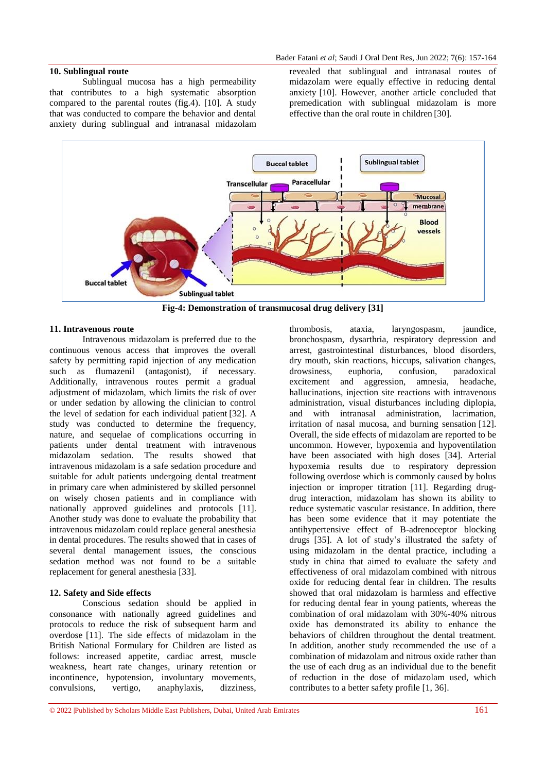# **10. Sublingual route**

Sublingual mucosa has a high permeability that contributes to a high systematic absorption compared to the parental routes (fig.4). [10]. A study that was conducted to compare the behavior and dental anxiety during sublingual and intranasal midazolam

revealed that sublingual and intranasal routes of midazolam were equally effective in reducing dental anxiety [10]. However, another article concluded that premedication with sublingual midazolam is more effective than the oral route in children [30].



**Fig-4: Demonstration of transmucosal drug delivery [31]**

#### **11. Intravenous route**

Intravenous midazolam is preferred due to the continuous venous access that improves the overall safety by permitting rapid injection of any medication such as flumazenil (antagonist), if necessary. Additionally, intravenous routes permit a gradual adjustment of midazolam, which limits the risk of over or under sedation by allowing the clinician to control the level of sedation for each individual patient [32]. A study was conducted to determine the frequency, nature, and sequelae of complications occurring in patients under dental treatment with intravenous midazolam sedation. The results showed that intravenous midazolam is a safe sedation procedure and suitable for adult patients undergoing dental treatment in primary care when administered by skilled personnel on wisely chosen patients and in compliance with nationally approved guidelines and protocols [11]. Another study was done to evaluate the probability that intravenous midazolam could replace general anesthesia in dental procedures. The results showed that in cases of several dental management issues, the conscious sedation method was not found to be a suitable replacement for general anesthesia [33].

# **12. Safety and Side effects**

Conscious sedation should be applied in consonance with nationally agreed guidelines and protocols to reduce the risk of subsequent harm and overdose [11]. The side effects of midazolam in the British National Formulary for Children are listed as follows: increased appetite, cardiac arrest, muscle weakness, heart rate changes, urinary retention or incontinence, hypotension, involuntary movements, convulsions, vertigo, anaphylaxis, dizziness,

thrombosis, ataxia, laryngospasm, jaundice, bronchospasm, dysarthria, respiratory depression and arrest, gastrointestinal disturbances, blood disorders, dry mouth, skin reactions, hiccups, salivation changes, drowsiness, euphoria, confusion, paradoxical excitement and aggression, amnesia, headache, hallucinations, injection site reactions with intravenous administration, visual disturbances including diplopia, and with intranasal administration, lacrimation, irritation of nasal mucosa, and burning sensation [12]. Overall, the side effects of midazolam are reported to be uncommon. However, hypoxemia and hypoventilation have been associated with high doses [34]. Arterial hypoxemia results due to respiratory depression following overdose which is commonly caused by bolus injection or improper titration [11]. Regarding drugdrug interaction, midazolam has shown its ability to reduce systematic vascular resistance. In addition, there has been some evidence that it may potentiate the antihypertensive effect of B-adrenoceptor blocking drugs [35]. A lot of study's illustrated the safety of using midazolam in the dental practice, including a study in china that aimed to evaluate the safety and effectiveness of oral midazolam combined with nitrous oxide for reducing dental fear in children. The results showed that oral midazolam is harmless and effective for reducing dental fear in young patients, whereas the combination of oral midazolam with 30%-40% nitrous oxide has demonstrated its ability to enhance the behaviors of children throughout the dental treatment. In addition, another study recommended the use of a combination of midazolam and nitrous oxide rather than the use of each drug as an individual due to the benefit of reduction in the dose of midazolam used, which contributes to a better safety profile [1, 36].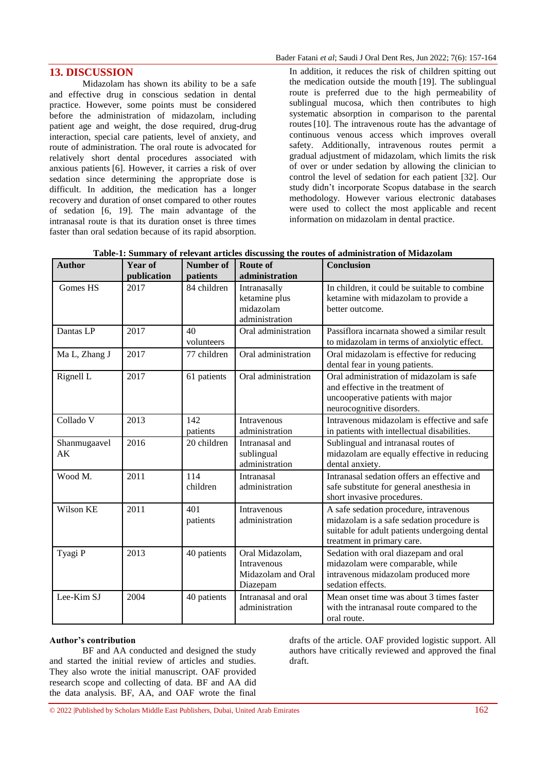# **13. DISCUSSION**

Midazolam has shown its ability to be a safe and effective drug in conscious sedation in dental practice. However, some points must be considered before the administration of midazolam, including patient age and weight, the dose required, drug-drug interaction, special care patients, level of anxiety, and route of administration. The oral route is advocated for relatively short dental procedures associated with anxious patients [6]. However, it carries a risk of over sedation since determining the appropriate dose is difficult. In addition, the medication has a longer recovery and duration of onset compared to other routes of sedation [6, 19]. The main advantage of the intranasal route is that its duration onset is three times faster than oral sedation because of its rapid absorption. In addition, it reduces the risk of children spitting out the medication outside the mouth [19]. The sublingual route is preferred due to the high permeability of sublingual mucosa, which then contributes to high systematic absorption in comparison to the parental routes[10]. The intravenous route has the advantage of continuous venous access which improves overall safety. Additionally, intravenous routes permit a gradual adjustment of midazolam, which limits the risk of over or under sedation by allowing the clinician to control the level of sedation for each patient [32]. Our study didn't incorporate Scopus database in the search methodology. However various electronic databases were used to collect the most applicable and recent information on midazolam in dental practice.

|  |  |  | Table-1: Summary of relevant articles discussing the routes of administration of Midazolam |  |
|--|--|--|--------------------------------------------------------------------------------------------|--|
|--|--|--|--------------------------------------------------------------------------------------------|--|

| <b>Author</b>      | Year of<br>publication | <b>Number of</b><br>patients | <b>Route of</b><br>administration                                       | <b>Conclusion</b>                                                                                                                                                  |
|--------------------|------------------------|------------------------------|-------------------------------------------------------------------------|--------------------------------------------------------------------------------------------------------------------------------------------------------------------|
| Gomes HS           | 2017                   | 84 children                  | Intranasally<br>ketamine plus<br>midazolam<br>administration            | In children, it could be suitable to combine<br>ketamine with midazolam to provide a<br>better outcome.                                                            |
| Dantas LP          | 2017                   | 40<br>volunteers             | Oral administration                                                     | Passiflora incarnata showed a similar result<br>to midazolam in terms of anxiolytic effect.                                                                        |
| Ma L, Zhang J      | 2017                   | 77 children                  | Oral administration                                                     | Oral midazolam is effective for reducing<br>dental fear in young patients.                                                                                         |
| Rignell L          | 2017                   | 61 patients                  | Oral administration                                                     | Oral administration of midazolam is safe<br>and effective in the treatment of<br>uncooperative patients with major<br>neurocognitive disorders.                    |
| Collado V          | 2013                   | 142<br>patients              | Intravenous<br>administration                                           | Intravenous midazolam is effective and safe<br>in patients with intellectual disabilities.                                                                         |
| Shanmugaavel<br>AK | 2016                   | 20 children                  | Intranasal and<br>sublingual<br>administration                          | Sublingual and intranasal routes of<br>midazolam are equally effective in reducing<br>dental anxiety.                                                              |
| Wood M.            | 2011                   | 114<br>children              | Intranasal<br>administration                                            | Intranasal sedation offers an effective and<br>safe substitute for general anesthesia in<br>short invasive procedures.                                             |
| Wilson KE          | 2011                   | 401<br>patients              | Intravenous<br>administration                                           | A safe sedation procedure, intravenous<br>midazolam is a safe sedation procedure is<br>suitable for adult patients undergoing dental<br>treatment in primary care. |
| Tyagi P            | 2013                   | 40 patients                  | Oral Midazolam,<br><b>Intravenous</b><br>Midazolam and Oral<br>Diazepam | Sedation with oral diazepam and oral<br>midazolam were comparable, while<br>intravenous midazolam produced more<br>sedation effects.                               |
| Lee-Kim SJ         | 2004                   | 40 patients                  | Intranasal and oral<br>administration                                   | Mean onset time was about 3 times faster<br>with the intranasal route compared to the<br>oral route.                                                               |

#### **Author's contribution**

BF and AA conducted and designed the study and started the initial review of articles and studies. They also wrote the initial manuscript. OAF provided research scope and collecting of data. BF and AA did the data analysis. BF, AA, and OAF wrote the final

drafts of the article. OAF provided logistic support. All authors have critically reviewed and approved the final draft.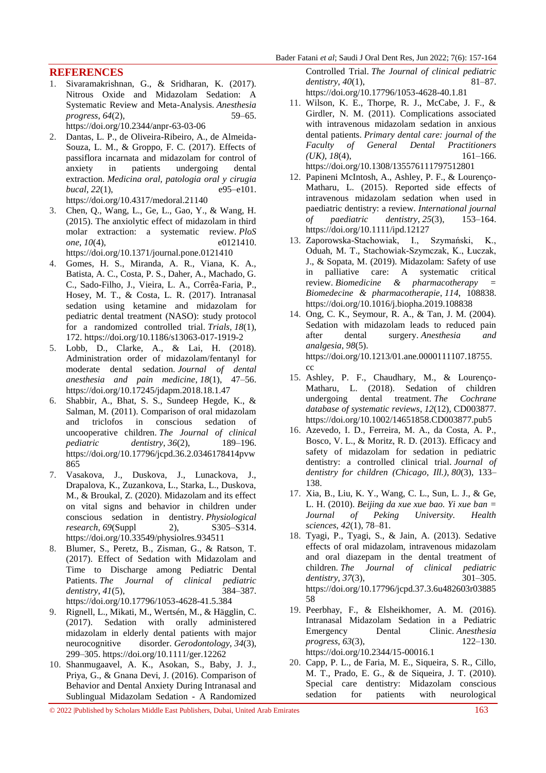# **REFERENCES**

1. Sivaramakrishnan, G., & Sridharan, K. (2017). Nitrous Oxide and Midazolam Sedation: A Systematic Review and Meta-Analysis. *Anesthesia progress*, *64*(2), 59–65.

<https://doi.org/10.2344/anpr-63-03-06>

- 2. Dantas, L. P., de Oliveira-Ribeiro, A., de Almeida-Souza, L. M., & Groppo, F. C. (2017). Effects of passiflora incarnata and midazolam for control of anxiety in patients undergoing dental extraction. *Medicina oral, patologia oral y cirugia bucal*, 22(1), e95–e101. <https://doi.org/10.4317/medoral.21140>
- 3. Chen, Q., Wang, L., Ge, L., Gao, Y., & Wang, H. (2015). The anxiolytic effect of midazolam in third molar extraction: a systematic review. *PloS one*, *10*(4), e0121410. <https://doi.org/10.1371/journal.pone.0121410>
- 4. Gomes, H. S., Miranda, A. R., Viana, K. A., Batista, A. C., Costa, P. S., Daher, A., Machado, G. C., Sado-Filho, J., Vieira, L. A., Corrêa-Faria, P., Hosey, M. T., & Costa, L. R. (2017). Intranasal sedation using ketamine and midazolam for pediatric dental treatment (NASO): study protocol for a randomized controlled trial. *Trials*, *18*(1), 172.<https://doi.org/10.1186/s13063-017-1919-2>
- 5. Lobb, D., Clarke, A., & Lai, H. (2018). Administration order of midazolam/fentanyl for moderate dental sedation. *Journal of dental anesthesia and pain medicine*, *18*(1), 47–56. <https://doi.org/10.17245/jdapm.2018.18.1.47>
- 6. Shabbir, A., Bhat, S. S., Sundeep Hegde, K., & Salman, M. (2011). Comparison of oral midazolam and triclofos in conscious sedation of uncooperative children. *The Journal of clinical pediatric dentistry*, *36*(2), 189–196. [https://doi.org/10.17796/jcpd.36.2.0346178414pvw](https://doi.org/10.17796/jcpd.36.2.0346178414pvw865) [865](https://doi.org/10.17796/jcpd.36.2.0346178414pvw865)
- 7. Vasakova, J., Duskova, J., Lunackova, J., Drapalova, K., Zuzankova, L., Starka, L., Duskova, M., & Broukal, Z. (2020). Midazolam and its effect on vital signs and behavior in children under conscious sedation in dentistry. *Physiological research*, *69*(Suppl 2), S305–S314. <https://doi.org/10.33549/physiolres.934511>
- 8. Blumer, S., Peretz, B., Zisman, G., & Ratson, T. (2017). Effect of Sedation with Midazolam and Time to Discharge among Pediatric Dental Patients. *The Journal of clinical pediatric dentistry*, *41*(5), 384–387. <https://doi.org/10.17796/1053-4628-41.5.384>
- 9. Rignell, L., Mikati, M., Wertsén, M., & Hägglin, C. (2017). Sedation with orally administered midazolam in elderly dental patients with major neurocognitive disorder. *Gerodontology*, *34*(3), 299–305.<https://doi.org/10.1111/ger.12262>
- 10. Shanmugaavel, A. K., Asokan, S., Baby, J. J., Priya, G., & Gnana Devi, J. (2016). Comparison of Behavior and Dental Anxiety During Intranasal and Sublingual Midazolam Sedation - A Randomized

Controlled Trial. *The Journal of clinical pediatric dentistry*, *40*(1), 81–87. <https://doi.org/10.17796/1053-4628-40.1.81>

- 11. Wilson, K. E., Thorpe, R. J., McCabe, J. F., & Girdler, N. M. (2011). Complications associated with intravenous midazolam sedation in anxious dental patients. *Primary dental care: journal of the Faculty of General Dental Practitioners*   $(UK), 18(4),$  161–166. <https://doi.org/10.1308/135576111797512801>
- 12. Papineni McIntosh, A., Ashley, P. F., & Lourenço-Matharu, L. (2015). Reported side effects of intravenous midazolam sedation when used in paediatric dentistry: a review. *International journal of paediatric dentistry*, *25*(3), 153–164. <https://doi.org/10.1111/ipd.12127>
- 13. Zaporowska-Stachowiak, I., Szymański, K., Oduah, M. T., Stachowiak-Szymczak, K., Łuczak, J., & Sopata, M. (2019). Midazolam: Safety of use in palliative care: A systematic critical review. *Biomedicine & pharmacotherapy = Biomedecine & pharmacotherapie*, *114*, 108838. <https://doi.org/10.1016/j.biopha.2019.108838>
- 14. Ong, C. K., Seymour, R. A., & Tan, J. M. (2004). Sedation with midazolam leads to reduced pain after dental surgery. *Anesthesia and analgesia*, *98*(5). [https://doi.org/10.1213/01.ane.0000111107.18755.](https://doi.org/10.1213/01.ane.0000111107.18755.cc) [cc](https://doi.org/10.1213/01.ane.0000111107.18755.cc)
- 15. Ashley, P. F., Chaudhary, M., & Lourenço-Matharu, L. (2018). Sedation of children undergoing dental treatment. *The Cochrane database of systematic reviews*, *12*(12), CD003877. <https://doi.org/10.1002/14651858.CD003877.pub5>
- 16. Azevedo, I. D., Ferreira, M. A., da Costa, A. P., Bosco, V. L., & Moritz, R. D. (2013). Efficacy and safety of midazolam for sedation in pediatric dentistry: a controlled clinical trial. *Journal of dentistry for children (Chicago, Ill.)*, *80*(3), 133– 138.
- 17. Xia, B., Liu, K. Y., Wang, C. L., Sun, L. J., & Ge, L. H. (2010). *Beijing da xue xue bao. Yi xue ban = Journal of Peking University. Health sciences*, *42*(1), 78–81.
- 18. Tyagi, P., Tyagi, S., & Jain, A. (2013). Sedative effects of oral midazolam, intravenous midazolam and oral diazepam in the dental treatment of children. *The Journal of clinical pediatric dentistry*, 37(3), 301–305. [https://doi.org/10.17796/jcpd.37.3.6u482603r03885](https://doi.org/10.17796/jcpd.37.3.6u482603r0388558) [58](https://doi.org/10.17796/jcpd.37.3.6u482603r0388558)
- 19. Peerbhay, F., & Elsheikhomer, A. M. (2016). Intranasal Midazolam Sedation in a Pediatric Emergency Dental Clinic. *Anesthesia progress*, *63*(3), 122–130. <https://doi.org/10.2344/15-00016.1>
- 20. Capp, P. L., de Faria, M. E., Siqueira, S. R., Cillo, M. T., Prado, E. G., & de Siqueira, J. T. (2010). Special care dentistry: Midazolam conscious sedation for patients with neurological